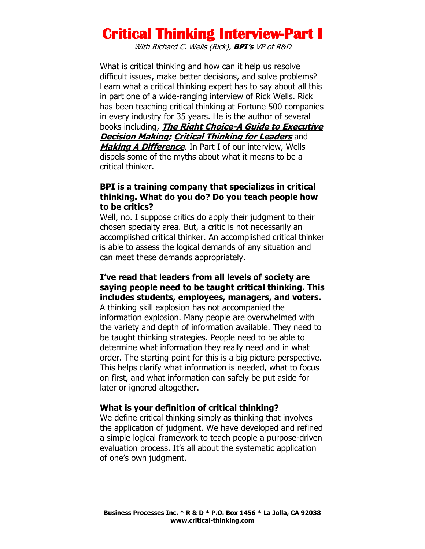With Richard C. Wells (Rick), **BPI's** VP of R&D

What is critical thinking and how can it help us resolve difficult issues, make better decisions, and solve problems? Learn what a critical thinking expert has to say about all this in part one of a wide-ranging interview of Rick Wells. Rick has been teaching critical thinking at Fortune 500 companies in every industry for 35 years. He is the author of several books including, **The Right Choice-A Guide to Executive Decision Making; Critical Thinking for Leaders** and **Making A Difference**. In Part I of our interview, Wells dispels some of the myths about what it means to be a critical thinker.

### **BPI is a training company that specializes in critical thinking. What do you do? Do you teach people how to be critics?**

Well, no. I suppose critics do apply their judgment to their chosen specialty area. But, a critic is not necessarily an accomplished critical thinker. An accomplished critical thinker is able to assess the logical demands of any situation and can meet these demands appropriately.

### **I've read that leaders from all levels of society are saying people need to be taught critical thinking. This includes students, employees, managers, and voters.**

A thinking skill explosion has not accompanied the information explosion. Many people are overwhelmed with the variety and depth of information available. They need to be taught thinking strategies. People need to be able to determine what information they really need and in what order. The starting point for this is a big picture perspective. This helps clarify what information is needed, what to focus on first, and what information can safely be put aside for later or ignored altogether.

### **What is your definition of critical thinking?**

We define critical thinking simply as thinking that involves the application of judgment. We have developed and refined a simple logical framework to teach people a purpose-driven evaluation process. It's all about the systematic application of one's own judgment.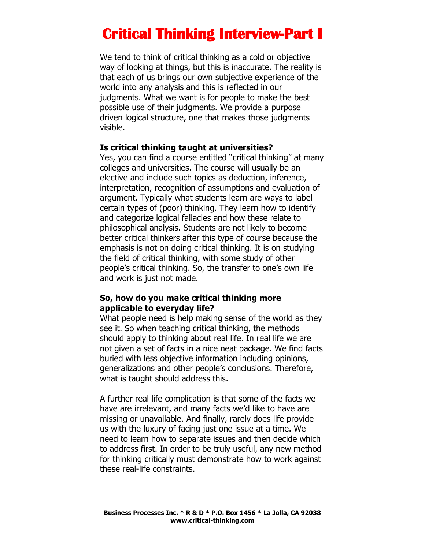We tend to think of critical thinking as a cold or objective way of looking at things, but this is inaccurate. The reality is that each of us brings our own subjective experience of the world into any analysis and this is reflected in our judgments. What we want is for people to make the best possible use of their judgments. We provide a purpose driven logical structure, one that makes those judgments visible.

#### **Is critical thinking taught at universities?**

Yes, you can find a course entitled "critical thinking" at many colleges and universities. The course will usually be an elective and include such topics as deduction, inference, interpretation, recognition of assumptions and evaluation of argument. Typically what students learn are ways to label certain types of (poor) thinking. They learn how to identify and categorize logical fallacies and how these relate to philosophical analysis. Students are not likely to become better critical thinkers after this type of course because the emphasis is not on doing critical thinking. It is on studying the field of critical thinking, with some study of other people's critical thinking. So, the transfer to one's own life and work is just not made.

### **So, how do you make critical thinking more applicable to everyday life?**

What people need is help making sense of the world as they see it. So when teaching critical thinking, the methods should apply to thinking about real life. In real life we are not given a set of facts in a nice neat package. We find facts buried with less objective information including opinions, generalizations and other people's conclusions. Therefore, what is taught should address this.

A further real life complication is that some of the facts we have are irrelevant, and many facts we'd like to have are missing or unavailable. And finally, rarely does life provide us with the luxury of facing just one issue at a time. We need to learn how to separate issues and then decide which to address first. In order to be truly useful, any new method for thinking critically must demonstrate how to work against these real-life constraints.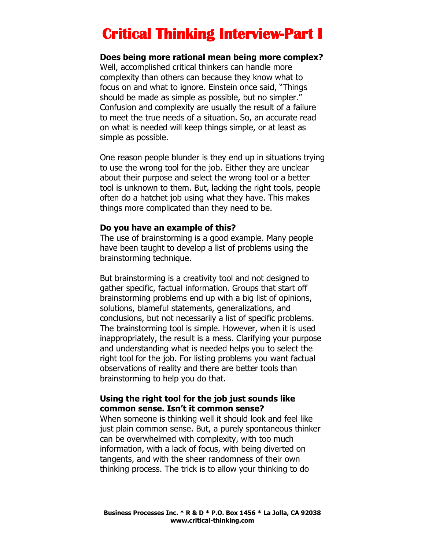#### **Does being more rational mean being more complex?**

Well, accomplished critical thinkers can handle more complexity than others can because they know what to focus on and what to ignore. Einstein once said, "Things should be made as simple as possible, but no simpler." Confusion and complexity are usually the result of a failure to meet the true needs of a situation. So, an accurate read on what is needed will keep things simple, or at least as simple as possible.

One reason people blunder is they end up in situations trying to use the wrong tool for the job. Either they are unclear about their purpose and select the wrong tool or a better tool is unknown to them. But, lacking the right tools, people often do a hatchet job using what they have. This makes things more complicated than they need to be.

#### **Do you have an example of this?**

The use of brainstorming is a good example. Many people have been taught to develop a list of problems using the brainstorming technique.

But brainstorming is a creativity tool and not designed to gather specific, factual information. Groups that start off brainstorming problems end up with a big list of opinions, solutions, blameful statements, generalizations, and conclusions, but not necessarily a list of specific problems. The brainstorming tool is simple. However, when it is used inappropriately, the result is a mess. Clarifying your purpose and understanding what is needed helps you to select the right tool for the job. For listing problems you want factual observations of reality and there are better tools than brainstorming to help you do that.

### **Using the right tool for the job just sounds like common sense. Isn't it common sense?**

When someone is thinking well it should look and feel like just plain common sense. But, a purely spontaneous thinker can be overwhelmed with complexity, with too much information, with a lack of focus, with being diverted on tangents, and with the sheer randomness of their own thinking process. The trick is to allow your thinking to do